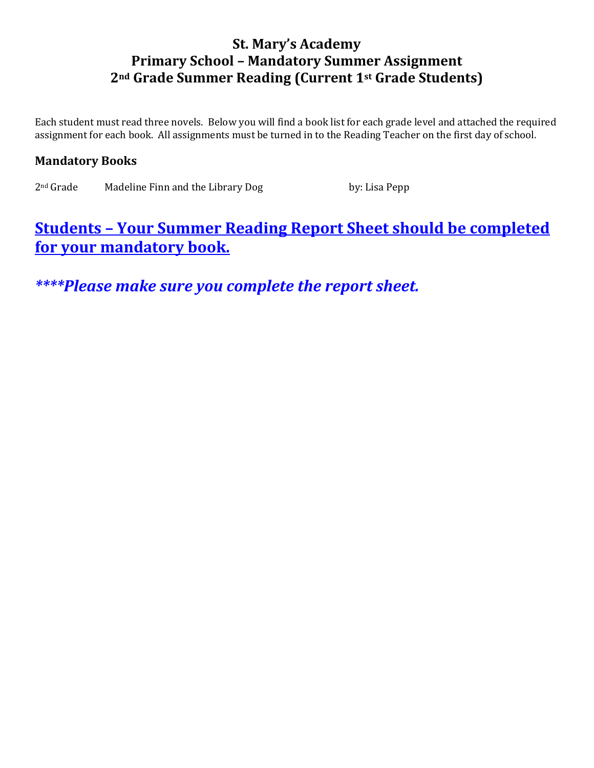## **St. Mary's Academy Primary School – Mandatory Summer Assignment 2nd Grade Summer Reading (Current 1st Grade Students)**

Each student must read three novels. Below you will find a book list for each grade level and attached the required assignment for each book. All assignments must be turned in to the Reading Teacher on the first day of school.

## **Mandatory Books**

2<sup>nd</sup> Grade Madeline Finn and the Library Dog by: Lisa Pepp

## **Students – Your Summer Reading Report Sheet should be completed for your mandatory book.**

*\*\*\*\*Please make sure you complete the report sheet.*